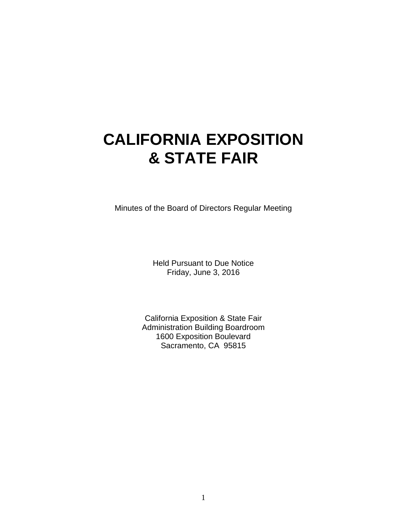# **CALIFORNIA EXPOSITION & STATE FAIR**

Minutes of the Board of Directors Regular Meeting

Held Pursuant to Due Notice Friday, June 3, 2016

California Exposition & State Fair Administration Building Boardroom 1600 Exposition Boulevard Sacramento, CA 95815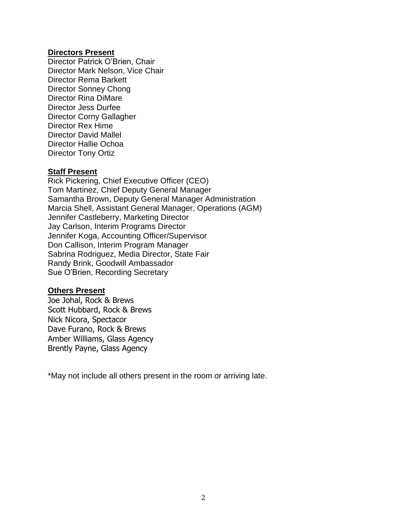## **Directors Present**

Director Patrick O'Brien, Chair Director Mark Nelson, Vice Chair Director Rema Barkett Director Sonney Chong Director Rina DiMare Director Jess Durfee Director Corny Gallagher Director Rex Hime Director David Mallel Director Hallie Ochoa Director Tony Ortiz

# **Staff Present**

Rick Pickering, Chief Executive Officer (CEO) Tom Martinez, Chief Deputy General Manager Samantha Brown, Deputy General Manager Administration Marcia Shell, Assistant General Manager, Operations (AGM) Jennifer Castleberry, Marketing Director Jay Carlson, Interim Programs Director Jennifer Koga, Accounting Officer/Supervisor Don Callison, Interim Program Manager Sabrina Rodriguez, Media Director, State Fair Randy Brink, Goodwill Ambassador Sue O'Brien, Recording Secretary

## **Others Present**

Joe Johal, Rock & Brews Scott Hubbard, Rock & Brews Nick Nicora, Spectacor Dave Furano, Rock & Brews Amber Williams, Glass Agency Brently Payne, Glass Agency

\*May not include all others present in the room or arriving late.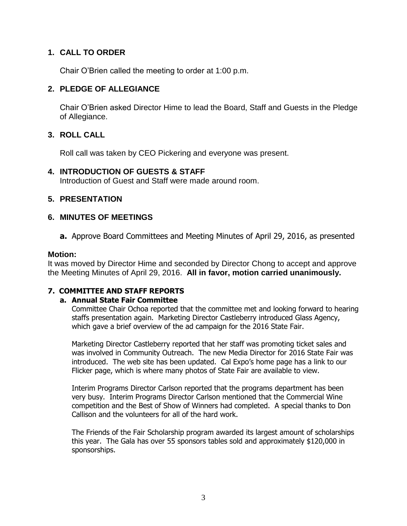# **1. CALL TO ORDER**

Chair O'Brien called the meeting to order at 1:00 p.m.

## **2. PLEDGE OF ALLEGIANCE**

Chair O'Brien asked Director Hime to lead the Board, Staff and Guests in the Pledge of Allegiance.

# **3. ROLL CALL**

Roll call was taken by CEO Pickering and everyone was present.

## **4. INTRODUCTION OF GUESTS & STAFF**

Introduction of Guest and Staff were made around room.

## **5. PRESENTATION**

## **6. MINUTES OF MEETINGS**

**a.** Approve Board Committees and Meeting Minutes of April 29, 2016, as presented

#### **Motion:**

It was moved by Director Hime and seconded by Director Chong to accept and approve the Meeting Minutes of April 29, 2016. **All in favor, motion carried unanimously.**

## **7. COMMITTEE AND STAFF REPORTS**

#### **a. Annual State Fair Committee**

Committee Chair Ochoa reported that the committee met and looking forward to hearing staffs presentation again. Marketing Director Castleberry introduced Glass Agency, which gave a brief overview of the ad campaign for the 2016 State Fair.

Marketing Director Castleberry reported that her staff was promoting ticket sales and was involved in Community Outreach. The new Media Director for 2016 State Fair was introduced. The web site has been updated. Cal Expo's home page has a link to our Flicker page, which is where many photos of State Fair are available to view.

Interim Programs Director Carlson reported that the programs department has been very busy. Interim Programs Director Carlson mentioned that the Commercial Wine competition and the Best of Show of Winners had completed. A special thanks to Don Callison and the volunteers for all of the hard work.

The Friends of the Fair Scholarship program awarded its largest amount of scholarships this year. The Gala has over 55 sponsors tables sold and approximately \$120,000 in sponsorships.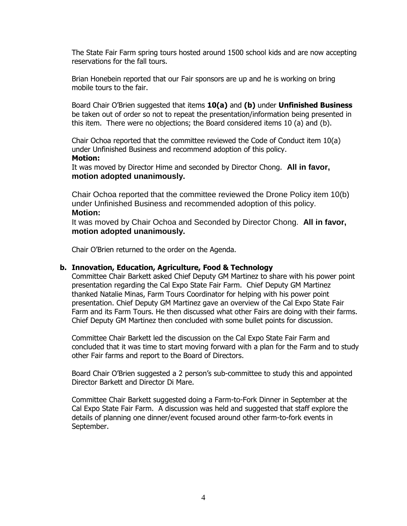The State Fair Farm spring tours hosted around 1500 school kids and are now accepting reservations for the fall tours.

Brian Honebein reported that our Fair sponsors are up and he is working on bring mobile tours to the fair.

Board Chair O'Brien suggested that items **10(a)** and **(b)** under **Unfinished Business** be taken out of order so not to repeat the presentation/information being presented in this item. There were no objections; the Board considered items 10 (a) and (b).

Chair Ochoa reported that the committee reviewed the Code of Conduct item 10(a) under Unfinished Business and recommend adoption of this policy. **Motion:**

It was moved by Director Hime and seconded by Director Chong. **All in favor, motion adopted unanimously.**

Chair Ochoa reported that the committee reviewed the Drone Policy item 10(b) under Unfinished Business and recommended adoption of this policy. **Motion:**

It was moved by Chair Ochoa and Seconded by Director Chong. **All in favor, motion adopted unanimously.**

Chair O'Brien returned to the order on the Agenda.

#### **b. Innovation, Education, Agriculture, Food & Technology**

Committee Chair Barkett asked Chief Deputy GM Martinez to share with his power point presentation regarding the Cal Expo State Fair Farm. Chief Deputy GM Martinez thanked Natalie Minas, Farm Tours Coordinator for helping with his power point presentation. Chief Deputy GM Martinez gave an overview of the Cal Expo State Fair Farm and its Farm Tours. He then discussed what other Fairs are doing with their farms. Chief Deputy GM Martinez then concluded with some bullet points for discussion.

Committee Chair Barkett led the discussion on the Cal Expo State Fair Farm and concluded that it was time to start moving forward with a plan for the Farm and to study other Fair farms and report to the Board of Directors.

Board Chair O'Brien suggested a 2 person's sub-committee to study this and appointed Director Barkett and Director Di Mare.

Committee Chair Barkett suggested doing a Farm-to-Fork Dinner in September at the Cal Expo State Fair Farm. A discussion was held and suggested that staff explore the details of planning one dinner/event focused around other farm-to-fork events in September.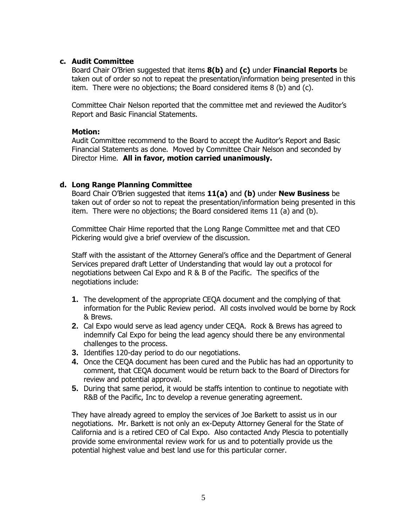#### **c. Audit Committee**

Board Chair O'Brien suggested that items **8(b)** and **(c)** under **Financial Reports** be taken out of order so not to repeat the presentation/information being presented in this item. There were no objections; the Board considered items 8 (b) and (c).

Committee Chair Nelson reported that the committee met and reviewed the Auditor's Report and Basic Financial Statements.

#### **Motion:**

Audit Committee recommend to the Board to accept the Auditor's Report and Basic Financial Statements as done. Moved by Committee Chair Nelson and seconded by Director Hime. **All in favor, motion carried unanimously.**

#### **d. Long Range Planning Committee**

Board Chair O'Brien suggested that items **11(a)** and **(b)** under **New Business** be taken out of order so not to repeat the presentation/information being presented in this item. There were no objections; the Board considered items 11 (a) and (b).

Committee Chair Hime reported that the Long Range Committee met and that CEO Pickering would give a brief overview of the discussion.

Staff with the assistant of the Attorney General's office and the Department of General Services prepared draft Letter of Understanding that would lay out a protocol for negotiations between Cal Expo and R & B of the Pacific. The specifics of the negotiations include:

- **1.** The development of the appropriate CEQA document and the complying of that information for the Public Review period. All costs involved would be borne by Rock & Brews.
- **2.** Cal Expo would serve as lead agency under CEQA. Rock & Brews has agreed to indemnify Cal Expo for being the lead agency should there be any environmental challenges to the process.
- **3.** Identifies 120-day period to do our negotiations.
- **4.** Once the CEQA document has been cured and the Public has had an opportunity to comment, that CEQA document would be return back to the Board of Directors for review and potential approval.
- **5.** During that same period, it would be staffs intention to continue to negotiate with R&B of the Pacific, Inc to develop a revenue generating agreement.

They have already agreed to employ the services of Joe Barkett to assist us in our negotiations. Mr. Barkett is not only an ex-Deputy Attorney General for the State of California and is a retired CEO of Cal Expo. Also contacted Andy Plescia to potentially provide some environmental review work for us and to potentially provide us the potential highest value and best land use for this particular corner.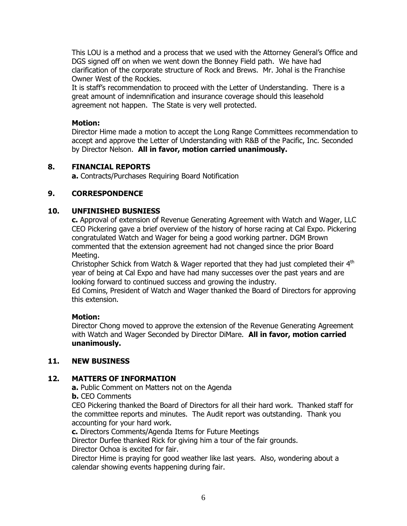This LOU is a method and a process that we used with the Attorney General's Office and DGS signed off on when we went down the Bonney Field path. We have had clarification of the corporate structure of Rock and Brews. Mr. Johal is the Franchise Owner West of the Rockies.

It is staff's recommendation to proceed with the Letter of Understanding. There is a great amount of indemnification and insurance coverage should this leasehold agreement not happen. The State is very well protected.

#### **Motion:**

Director Hime made a motion to accept the Long Range Committees recommendation to accept and approve the Letter of Understanding with R&B of the Pacific, Inc. Seconded by Director Nelson. **All in favor, motion carried unanimously.**

## **8. FINANCIAL REPORTS**

**a.** Contracts/Purchases Requiring Board Notification

## **9. CORRESPONDENCE**

## **10. UNFINISHED BUSNIESS**

**c.** Approval of extension of Revenue Generating Agreement with Watch and Wager, LLC CEO Pickering gave a brief overview of the history of horse racing at Cal Expo. Pickering congratulated Watch and Wager for being a good working partner. DGM Brown commented that the extension agreement had not changed since the prior Board Meeting.

Christopher Schick from Watch & Wager reported that they had just completed their  $4<sup>th</sup>$ year of being at Cal Expo and have had many successes over the past years and are looking forward to continued success and growing the industry.

Ed Comins, President of Watch and Wager thanked the Board of Directors for approving this extension.

#### **Motion:**

Director Chong moved to approve the extension of the Revenue Generating Agreement with Watch and Wager Seconded by Director DiMare. **All in favor, motion carried unanimously.**

#### **11. NEW BUSINESS**

## **12. MATTERS OF INFORMATION**

**a.** Public Comment on Matters not on the Agenda

#### **b.** CEO Comments

CEO Pickering thanked the Board of Directors for all their hard work. Thanked staff for the committee reports and minutes. The Audit report was outstanding. Thank you accounting for your hard work.

**c.** Directors Comments/Agenda Items for Future Meetings

Director Durfee thanked Rick for giving him a tour of the fair grounds.

Director Ochoa is excited for fair.

Director Hime is praying for good weather like last years. Also, wondering about a calendar showing events happening during fair.